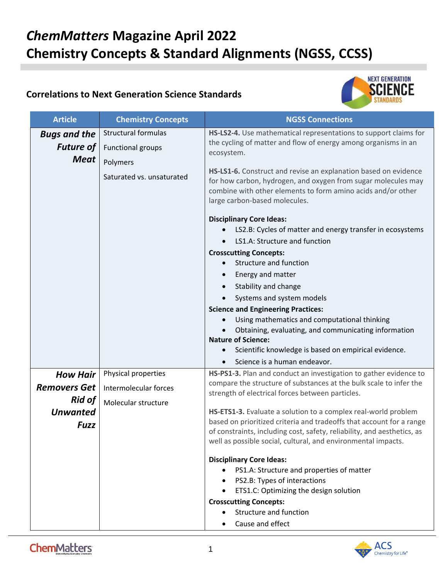## *ChemMatters* **Magazine April 2022 Chemistry Concepts & Standard Alignments (NGSS, CCSS)**

## **Correlations to Next Generation Science Standards**



| <b>Article</b>                                         | <b>Chemistry Concepts</b>                              | <b>NGSS Connections</b>                                                                                                                                                                                                                                                                                                                                                                                                                                                                                                                                                                                                                                                                                                                                                                                     |
|--------------------------------------------------------|--------------------------------------------------------|-------------------------------------------------------------------------------------------------------------------------------------------------------------------------------------------------------------------------------------------------------------------------------------------------------------------------------------------------------------------------------------------------------------------------------------------------------------------------------------------------------------------------------------------------------------------------------------------------------------------------------------------------------------------------------------------------------------------------------------------------------------------------------------------------------------|
| <b>Bugs and the</b><br><b>Future of</b><br><b>Meat</b> | <b>Structural formulas</b><br><b>Functional groups</b> | HS-LS2-4. Use mathematical representations to support claims for<br>the cycling of matter and flow of energy among organisms in an<br>ecosystem.                                                                                                                                                                                                                                                                                                                                                                                                                                                                                                                                                                                                                                                            |
|                                                        | Polymers<br>Saturated vs. unsaturated                  | HS-LS1-6. Construct and revise an explanation based on evidence<br>for how carbon, hydrogen, and oxygen from sugar molecules may<br>combine with other elements to form amino acids and/or other<br>large carbon-based molecules.<br><b>Disciplinary Core Ideas:</b><br>LS2.B: Cycles of matter and energy transfer in ecosystems<br>LS1.A: Structure and function<br><b>Crosscutting Concepts:</b><br>Structure and function<br>Energy and matter<br>Stability and change<br>Systems and system models<br><b>Science and Engineering Practices:</b><br>Using mathematics and computational thinking<br>$\bullet$<br>Obtaining, evaluating, and communicating information<br><b>Nature of Science:</b><br>Scientific knowledge is based on empirical evidence.<br>$\bullet$<br>Science is a human endeavor. |
| <b>How Hair</b>                                        | Physical properties                                    | HS-PS1-3. Plan and conduct an investigation to gather evidence to<br>compare the structure of substances at the bulk scale to infer the<br>strength of electrical forces between particles.                                                                                                                                                                                                                                                                                                                                                                                                                                                                                                                                                                                                                 |
| <b>Removers Get</b>                                    | Intermolecular forces                                  |                                                                                                                                                                                                                                                                                                                                                                                                                                                                                                                                                                                                                                                                                                                                                                                                             |
| <b>Rid of</b><br><b>Unwanted</b><br><b>Fuzz</b>        | Molecular structure                                    | HS-ETS1-3. Evaluate a solution to a complex real-world problem<br>based on prioritized criteria and tradeoffs that account for a range<br>of constraints, including cost, safety, reliability, and aesthetics, as<br>well as possible social, cultural, and environmental impacts.<br><b>Disciplinary Core Ideas:</b>                                                                                                                                                                                                                                                                                                                                                                                                                                                                                       |
|                                                        |                                                        | PS1.A: Structure and properties of matter<br>PS2.B: Types of interactions                                                                                                                                                                                                                                                                                                                                                                                                                                                                                                                                                                                                                                                                                                                                   |
|                                                        |                                                        | ETS1.C: Optimizing the design solution<br>$\bullet$                                                                                                                                                                                                                                                                                                                                                                                                                                                                                                                                                                                                                                                                                                                                                         |
|                                                        |                                                        | <b>Crosscutting Concepts:</b><br>Structure and function                                                                                                                                                                                                                                                                                                                                                                                                                                                                                                                                                                                                                                                                                                                                                     |
|                                                        |                                                        | Cause and effect                                                                                                                                                                                                                                                                                                                                                                                                                                                                                                                                                                                                                                                                                                                                                                                            |